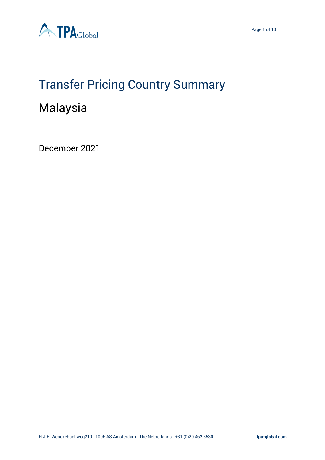

# Transfer Pricing Country Summary

# Malaysia

December 2021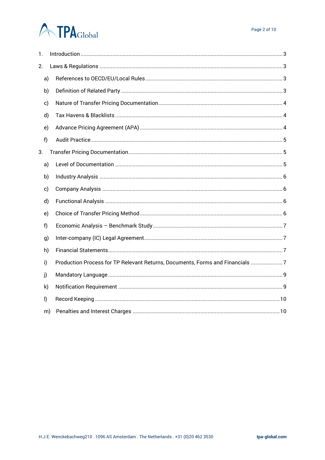# **ATPA**Global

| 1. |         |                                                                               |  |  |  |  |  |
|----|---------|-------------------------------------------------------------------------------|--|--|--|--|--|
| 2. |         |                                                                               |  |  |  |  |  |
|    | a)      |                                                                               |  |  |  |  |  |
|    | b)      |                                                                               |  |  |  |  |  |
|    | c)      |                                                                               |  |  |  |  |  |
|    | d)      |                                                                               |  |  |  |  |  |
|    | e)      |                                                                               |  |  |  |  |  |
|    | f)      |                                                                               |  |  |  |  |  |
| 3. |         |                                                                               |  |  |  |  |  |
|    | a)      |                                                                               |  |  |  |  |  |
|    | b)      |                                                                               |  |  |  |  |  |
|    | c)      |                                                                               |  |  |  |  |  |
|    | d)      |                                                                               |  |  |  |  |  |
|    | e)      |                                                                               |  |  |  |  |  |
|    | f       |                                                                               |  |  |  |  |  |
|    | g)      |                                                                               |  |  |  |  |  |
|    | h)      |                                                                               |  |  |  |  |  |
|    | i)      | Production Process for TP Relevant Returns, Documents, Forms and Financials 7 |  |  |  |  |  |
|    | j)      |                                                                               |  |  |  |  |  |
|    | k)      |                                                                               |  |  |  |  |  |
|    | $\vert$ |                                                                               |  |  |  |  |  |
|    | m)      |                                                                               |  |  |  |  |  |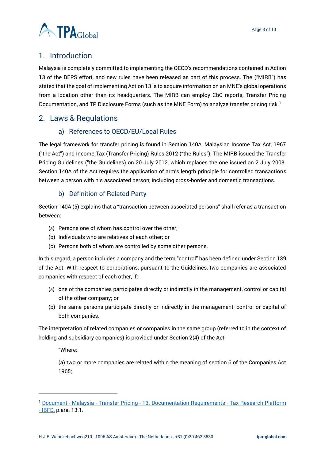

# <span id="page-2-0"></span>1. Introduction

Malaysia is completely committed to implementing the OECD's recommendations contained in Action 13 of the BEPS effort, and new rules have been released as part of this process. The ("MIRB") has stated that the goal of implementing Action 13 is to acquire information on an MNE's global operations from a location other than its headquarters. The MIRB can employ CbC reports, Transfer Pricing Documentation, and TP Disclosure Forms (such as the MNE Form) to analyze transfer pricing risk.<sup>1</sup>

# <span id="page-2-2"></span><span id="page-2-1"></span>2. Laws & Regulations

### a) References to OECD/EU/Local Rules

The legal framework for transfer pricing is found in Section 140A, Malaysian Income Tax Act, 1967 ("the Act") and Income Tax (Transfer Pricing) Rules 2012 ("the Rules"). The MIRB issued the Transfer Pricing Guidelines ("the Guidelines) on 20 July 2012, which replaces the one issued on 2 July 2003. Section 140A of the Act requires the application of arm's length principle for controlled transactions between a person with his associated person, including cross-border and domestic transactions.

## b) Definition of Related Party

<span id="page-2-3"></span>Section 140A (5) explains that a "transaction between associated persons" shall refer as a transaction between:

- (a) Persons one of whom has control over the other;
- (b) Individuals who are relatives of each other; or
- (c) Persons both of whom are controlled by some other persons.

In this regard, a person includes a company and the term "control" has been defined under Section 139 of the Act. With respect to corporations, pursuant to the Guidelines, two companies are associated companies with respect of each other, if:

- (a) one of the companies participates directly or indirectly in the management, control or capital of the other company; or
- (b) the same persons participate directly or indirectly in the management, control or capital of both companies.

The interpretation of related companies or companies in the same group (referred to in the context of holding and subsidiary companies) is provided under Section 2(4) of the Act,

"Where:

(a) two or more companies are related within the meaning of section 6 of the Companies Act 1965;

- [IBFD,](https://research.ibfd.org/#/doc?url=/collections/tp/html/tp_my_s_013.html) p.ara. 13.1.

<sup>&</sup>lt;sup>1</sup> Document - Malaysia - Transfer Pricing - [13. Documentation Requirements -](https://research.ibfd.org/#/doc?url=/collections/tp/html/tp_my_s_013.html) Tax Research Platform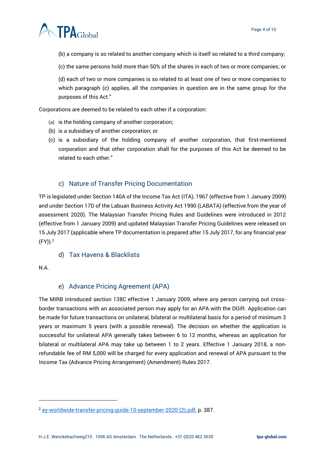

(b) a company is so related to another company which is itself so related to a third company;

(c) the same persons hold more than 50% of the shares in each of two or more companies; or

(d) each of two or more companies is so related to at least one of two or more companies to which paragraph (c) applies, all the companies in question are in the same group for the purposes of this Act."

Corporations are deemed to be related to each other if a corporation:

- (a) is the holding company of another corporation;
- (b) is a subsidiary of another corporation; or
- (c) is a subsidiary of the holding company of another corporation, that first-mentioned corporation and that other corporation shall for the purposes of this Act be deemed to be related to each other."

#### c) Nature of Transfer Pricing Documentation

<span id="page-3-0"></span>TP is legislated under Section 140A of the Income Tax Act (ITA), 1967 (effective from 1 January 2009) and under Section 17D of the Labuan Business Activity Act 1990 (LABATA) (effective from the year of assessment 2020). The Malaysian Transfer Pricing Rules and Guidelines were introduced in 2012 (effective from 1 January 2009) and updated Malaysian Transfer Pricing Guidelines were released on 15 July 2017 (applicable where TP documentation is prepared after 15 July 2017, for any financial year  $(FY)$ ).<sup>2</sup>

#### d) Tax Havens & Blacklists

<span id="page-3-1"></span>N.A.

#### e) Advance Pricing Agreement (APA)

<span id="page-3-2"></span>The MIRB introduced section 138C effective 1 January 2009, where any person carrying out crossborder transactions with an associated person may apply for an APA with the DGIR. Application can be made for future transactions on unilateral, bilateral or multilateral basis for a period of minimum 3 years or maximum 5 years (with a possible renewal). The decision on whether the application is successful for unilateral APA generally takes between 6 to 12 months, whereas an application for bilateral or multilateral APA may take up between 1 to 2 years. Effective 1 January 2018, a nonrefundable fee of RM 5,000 will be charged for every application and renewal of APA pursuant to the Income Tax (Advance Pricing Arrangement) (Amendment) Rules 2017.

<sup>2</sup> [ey-worldwide-transfer-pricing-guide-10-september-2020 \(2\).pdf,](file:///C:/Users/m.pereira/OneDrive%20-%20TPA%20Global/Country%20Summary/ey-worldwide-transfer-pricing-guide-10-september-2020%20(2).pdf) p. 387.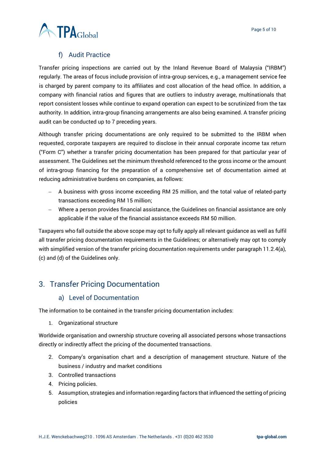## f) Audit Practice

<span id="page-4-0"></span>Transfer pricing inspections are carried out by the Inland Revenue Board of Malaysia ("IRBM") regularly. The areas of focus include provision of intra-group services, e.g., a management service fee is charged by parent company to its affiliates and cost allocation of the head office. In addition, a company with financial ratios and figures that are outliers to industry average, multinationals that report consistent losses while continue to expand operation can expect to be scrutinized from the tax authority. In addition, intra-group financing arrangements are also being examined. A transfer pricing audit can be conducted up to 7 preceding years.

Although transfer pricing documentations are only required to be submitted to the IRBM when requested, corporate taxpayers are required to disclose in their annual corporate income tax return ("Form C") whether a transfer pricing documentation has been prepared for that particular year of assessment. The Guidelines set the minimum threshold referenced to the gross income or the amount of intra-group financing for the preparation of a comprehensive set of documentation aimed at reducing administrative burdens on companies, as follows:

- − A business with gross income exceeding RM 25 million, and the total value of related-party transactions exceeding RM 15 million;
- − Where a person provides financial assistance, the Guidelines on financial assistance are only applicable if the value of the financial assistance exceeds RM 50 million.

Taxpayers who fall outside the above scope may opt to fully apply all relevant guidance as well as fulfil all transfer pricing documentation requirements in the Guidelines; or alternatively may opt to comply with simplified version of the transfer pricing documentation requirements under paragraph 11.2.4(a), (c) and (d) of the Guidelines only.

# <span id="page-4-2"></span><span id="page-4-1"></span>3. Transfer Pricing Documentation

#### a) Level of Documentation

The information to be contained in the transfer pricing documentation includes:

1. Organizational structure

Worldwide organisation and ownership structure covering all associated persons whose transactions directly or indirectly affect the pricing of the documented transactions.

- 2. Company's organisation chart and a description of management structure. Nature of the business / industry and market conditions
- 3. Controlled transactions
- 4. Pricing policies.
- 5. Assumption, strategies and information regarding factors that influenced the setting of pricing policies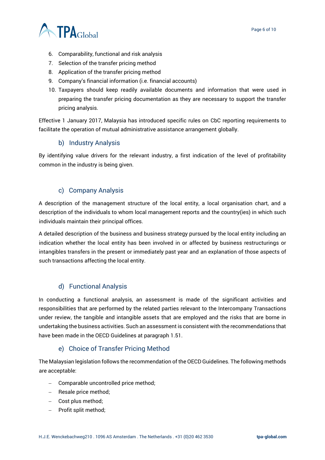

- 6. Comparability, functional and risk analysis
- 7. Selection of the transfer pricing method
- 8. Application of the transfer pricing method
- 9. Company's financial information (i.e. financial accounts)
- 10. Taxpayers should keep readily available documents and information that were used in preparing the transfer pricing documentation as they are necessary to support the transfer pricing analysis.

Effective 1 January 2017, Malaysia has introduced specific rules on CbC reporting requirements to facilitate the operation of mutual administrative assistance arrangement globally.

#### b) Industry Analysis

<span id="page-5-0"></span>By identifying value drivers for the relevant industry, a first indication of the level of profitability common in the industry is being given.

#### c) Company Analysis

<span id="page-5-1"></span>A description of the management structure of the local entity, a local organisation chart, and a description of the individuals to whom local management reports and the country(ies) in which such individuals maintain their principal offices.

A detailed description of the business and business strategy pursued by the local entity including an indication whether the local entity has been involved in or affected by business restructurings or intangibles transfers in the present or immediately past year and an explanation of those aspects of such transactions affecting the local entity.

#### d) Functional Analysis

<span id="page-5-2"></span>In conducting a functional analysis, an assessment is made of the significant activities and responsibilities that are performed by the related parties relevant to the Intercompany Transactions under review, the tangible and intangible assets that are employed and the risks that are borne in undertaking the business activities. Such an assessment is consistent with the recommendations that have been made in the OECD Guidelines at paragraph 1.51.

#### e) Choice of Transfer Pricing Method

<span id="page-5-3"></span>The Malaysian legislation follows the recommendation of the OECD Guidelines. The following methods are acceptable:

- − Comparable uncontrolled price method;
- − Resale price method;
- − Cost plus method;
- − Profit split method;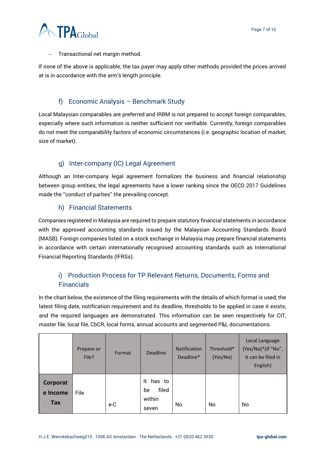

− Transactional net margin method.

If none of the above is applicable, the tax payer may apply other methods provided the prices arrived at is in accordance with the arm's length principle.

#### f) Economic Analysis – Benchmark Study

<span id="page-6-0"></span>Local Malaysian comparables are preferred and IRBM is not prepared to accept foreign comparables, especially where such information is neither sufficient nor verifiable. Currently, foreign comparables do not meet the comparability factors of economic circumstances (i.e. geographic location of market, size of market).

#### g) Inter-company (IC) Legal Agreement

<span id="page-6-1"></span>Although an Inter-company legal agreement formalizes the business and financial relationship between group entities, the legal agreements have a lower ranking since the OECD 2017 Guidelines made the ''conduct of parties'' the prevailing concept.

#### h) Financial Statements

<span id="page-6-2"></span>Companies registered in Malaysia are required to prepare statutory financial statements in accordance with the approved accounting standards issued by the Malaysian Accounting Standards Board (MASB). Foreign companies listed on a stock exchange in Malaysia may prepare financial statements in accordance with certain internationally recognised accounting standards such as International Financial Reporting Standards (IFRSs).

# <span id="page-6-3"></span>i) Production Process for TP Relevant Returns, Documents, Forms and Financials

In the chart below, the existence of the filing requirements with the details of which format is used, the latest filing date, notification requirement and its deadline, thresholds to be applied in case it exists, and the required languages are demonstrated. This information can be seen respectively for CIT, master file, local file, CbCR, local forms, annual accounts and segmented P&L documentations.

|                             | Prepare or<br>File? | Format | <b>Deadline</b>                             | <b>Notification</b><br>Deadline* | Threshold*<br>(Yes/No) | Local Language<br>(Yes/No)*(If "No",<br>it can be filed in<br>English) |
|-----------------------------|---------------------|--------|---------------------------------------------|----------------------------------|------------------------|------------------------------------------------------------------------|
| Corporat<br>e Income<br>Tax | File                | e-C    | It has to<br>filed<br>be<br>within<br>seven | No                               | No                     | No                                                                     |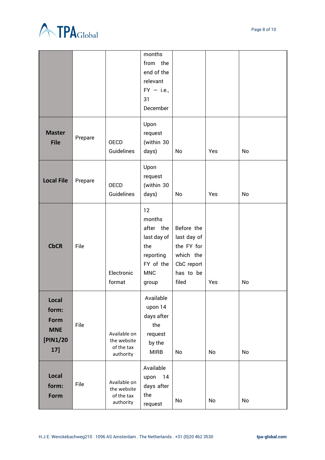

|                                                         |         |                                                        | months<br>from the<br>end of the<br>relevant<br>$FY - i.e.,$<br>31<br>December                   |                                                                                          |     |    |
|---------------------------------------------------------|---------|--------------------------------------------------------|--------------------------------------------------------------------------------------------------|------------------------------------------------------------------------------------------|-----|----|
| <b>Master</b><br><b>File</b>                            | Prepare | OECD<br>Guidelines                                     | Upon<br>request<br>(within 30<br>days)                                                           | No                                                                                       | Yes | No |
| <b>Local File</b>                                       | Prepare | <b>OECD</b><br>Guidelines                              | Upon<br>request<br>(within 30<br>days)                                                           | No                                                                                       | Yes | No |
| <b>CbCR</b>                                             | File    | Electronic<br>format                                   | 12<br>months<br>after the<br>last day of<br>the<br>reporting<br>FY of the<br><b>MNC</b><br>group | Before the<br>last day of<br>the FY for<br>which the<br>CbC report<br>has to be<br>filed | Yes | No |
| Local<br>form:<br>Form<br><b>MNE</b><br>[PIN1/20<br>17] | File    | Available on<br>the website<br>of the tax<br>authority | Available<br>upon 14<br>days after<br>the<br>request<br>by the<br><b>MIRB</b>                    | No                                                                                       | No  | No |
| Local<br>form:<br>Form                                  | File    | Available on<br>the website<br>of the tax<br>authority | Available<br>14<br>upon<br>days after<br>the<br>request                                          | No                                                                                       | No  | No |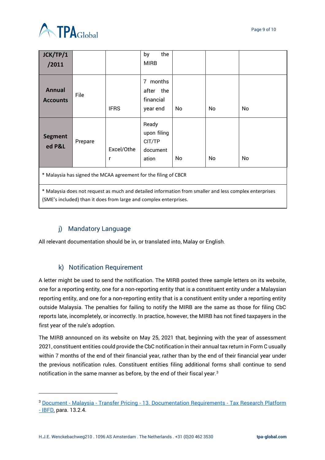

| JCK/TP/1<br>/2011                                                                                                                                                           |         |                 | the<br>by<br><b>MIRB</b>                             |     |    |    |
|-----------------------------------------------------------------------------------------------------------------------------------------------------------------------------|---------|-----------------|------------------------------------------------------|-----|----|----|
| <b>Annual</b><br><b>Accounts</b>                                                                                                                                            | File    | <b>IFRS</b>     | months<br>7<br>after<br>the<br>financial<br>year end | No  | No | No |
| <b>Segment</b><br>ed P&L                                                                                                                                                    | Prepare | Excel/Othe<br>r | Ready<br>upon filing<br>CIT/TP<br>document<br>ation  | No. | No | No |
| * Malaysia has signed the MCAA agreement for the filing of CBCR                                                                                                             |         |                 |                                                      |     |    |    |
| * Malaysia does not request as much and detailed information from smaller and less complex enterprises<br>(SME's included) than it does from large and complex enterprises. |         |                 |                                                      |     |    |    |

# j) Mandatory Language

<span id="page-8-0"></span>All relevant documentation should be in, or translated into, Malay or English.

# k) Notification Requirement

<span id="page-8-1"></span>A letter might be used to send the notification. The MIRB posted three sample letters on its website, one for a reporting entity, one for a non-reporting entity that is a constituent entity under a Malaysian reporting entity, and one for a non-reporting entity that is a constituent entity under a reporting entity outside Malaysia. The penalties for failing to notify the MIRB are the same as those for filing CbC reports late, incompletely, or incorrectly. In practice, however, the MIRB has not fined taxpayers in the first year of the rule's adoption.

The MIRB announced on its website on May 25, 2021 that, beginning with the year of assessment 2021, constituent entities could provide the CbC notification in their annual tax return in Form C usually within 7 months of the end of their financial year, rather than by the end of their financial year under the previous notification rules. Constituent entities filing additional forms shall continue to send notification in the same manner as before, by the end of their fiscal year.<sup>3</sup>

<sup>3</sup> Document - Malaysia - Transfer Pricing - [13. Documentation Requirements -](https://research.ibfd.org/#/doc?url=/collections/tp/html/tp_my_s_013.html) Tax Research Platform

<sup>-</sup> [IBFD,](https://research.ibfd.org/#/doc?url=/collections/tp/html/tp_my_s_013.html) para. 13.2.4.